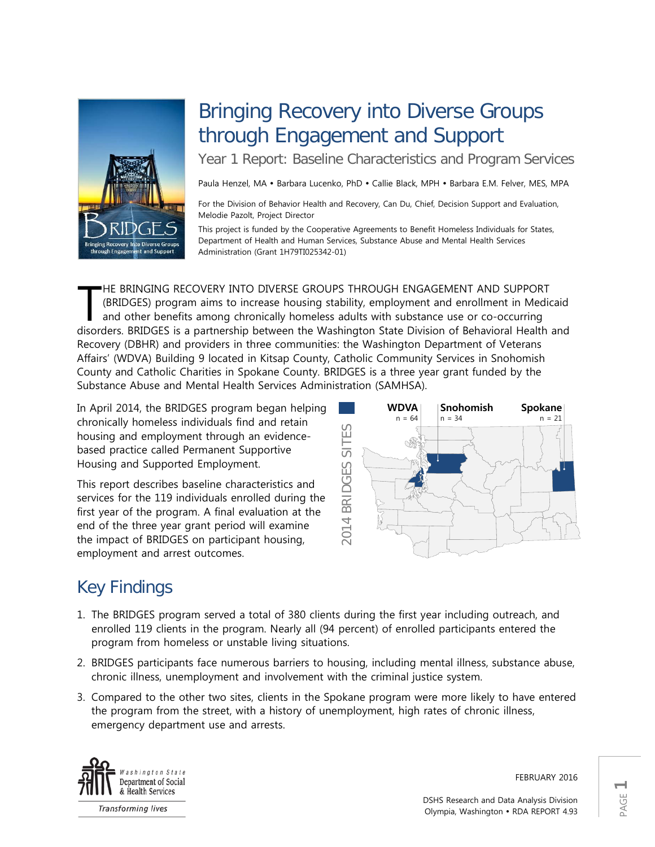

# Bringing Recovery into Diverse Groups through Engagement and Support

Year 1 Report: Baseline Characteristics and Program Services

Paula Henzel, MA · Barbara Lucenko, PhD · Callie Black, MPH · Barbara E.M. Felver, MES, MPA

For the Division of Behavior Health and Recovery, Can Du, Chief, Decision Support and Evaluation, Melodie Pazolt, Project Director

This project is funded by the Cooperative Agreements to Benefit Homeless Individuals for States, Department of Health and Human Services, Substance Abuse and Mental Health Services Administration (Grant 1H79TI025342-01)

HE BRINGING RECOVERY INTO DIVERSE GROUPS THROUGH ENGAGEMENT AND SUPPORT (BRIDGES) program aims to increase housing stability, employment and enrollment in Medicaid and other benefits among chronically homeless adults with substance use or co-occurring HE BRINGING RECOVERY INTO DIVERSE GROUPS THROUGH ENGAGEMENT AND SUPPORT (BRIDGES) program aims to increase housing stability, employment and enrollment in Medicaid and other benefits among chronically homeless adults with Recovery (DBHR) and providers in three communities: the Washington Department of Veterans Affairs' (WDVA) Building 9 located in Kitsap County, Catholic Community Services in Snohomish County and Catholic Charities in Spokane County. BRIDGES is a three year grant funded by the Substance Abuse and Mental Health Services Administration (SAMHSA).

In April 2014, the BRIDGES program began helping chronically homeless individuals find and retain housing and employment through an evidencebased practice called Permanent Supportive Housing and Supported Employment.

This report describes baseline characteristics and services for the 119 individuals enrolled during the first year of the program. A final evaluation at the end of the three year grant period will examine the impact of BRIDGES on participant housing, employment and arrest outcomes.



## Key Findings

- 1. The BRIDGES program served a total of 380 clients during the first year including outreach, and enrolled 119 clients in the program. Nearly all (94 percent) of enrolled participants entered the program from homeless or unstable living situations.
- 2. BRIDGES participants face numerous barriers to housing, including mental illness, substance abuse, chronic illness, unemployment and involvement with the criminal justice system.
- 3. Compared to the other two sites, clients in the Spokane program were more likely to have entered the program from the street, with a history of unemployment, high rates of chronic illness, emergency department use and arrests.



**Transforming lives** 

FEBRUARY 2016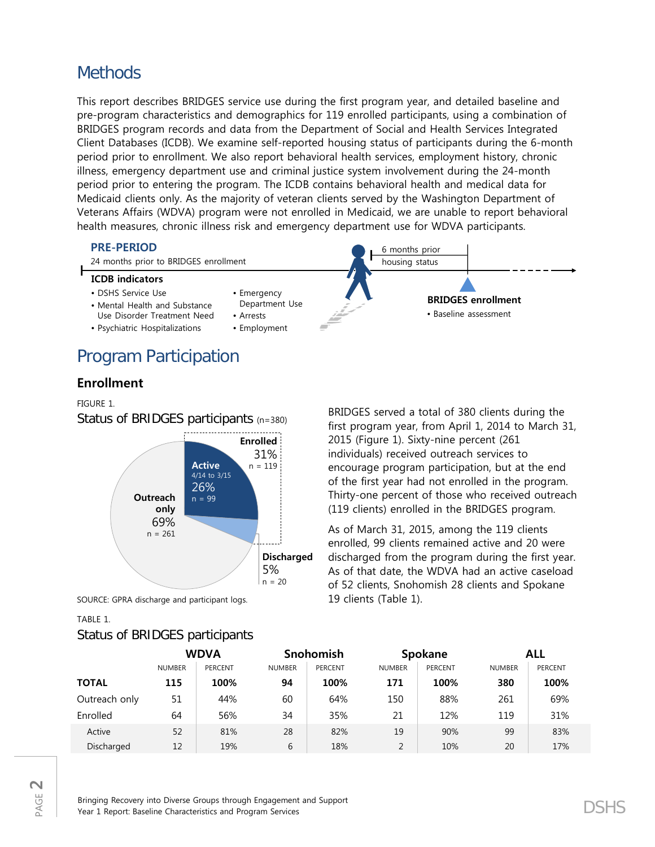## **Methods**

This report describes BRIDGES service use during the first program year, and detailed baseline and pre-program characteristics and demographics for 119 enrolled participants, using a combination of BRIDGES program records and data from the Department of Social and Health Services Integrated Client Databases (ICDB). We examine self-reported housing status of participants during the 6-month period prior to enrollment. We also report behavioral health services, employment history, chronic illness, emergency department use and criminal justice system involvement during the 24-month period prior to entering the program. The ICDB contains behavioral health and medical data for Medicaid clients only. As the majority of veteran clients served by the Washington Department of Veterans Affairs (WDVA) program were not enrolled in Medicaid, we are unable to report behavioral health measures, chronic illness risk and emergency department use for WDVA participants.



## Program Participation

## **Enrollment**

FIGURE 1.

Status of BRIDGES participants (n=380)



SOURCE: GPRA discharge and participant logs.

### TABLE 1.

## Status of BRIDGES participants

BRIDGES served a total of 380 clients during the first program year, from April 1, 2014 to March 31, 2015 (Figure 1). Sixty-nine percent (261 individuals) received outreach services to encourage program participation, but at the end of the first year had not enrolled in the program. Thirty-one percent of those who received outreach (119 clients) enrolled in the BRIDGES program.

As of March 31, 2015, among the 119 clients enrolled, 99 clients remained active and 20 were discharged from the program during the first year. As of that date, the WDVA had an active caseload of 52 clients, Snohomish 28 clients and Spokane 19 clients (Table 1).

|               | <b>WDVA</b>   |                | Snohomish     |                | Spokane       |                | ALL           |                |
|---------------|---------------|----------------|---------------|----------------|---------------|----------------|---------------|----------------|
|               | <b>NUMBER</b> | <b>PERCENT</b> | <b>NUMBER</b> | <b>PERCENT</b> | <b>NUMBER</b> | <b>PERCENT</b> | <b>NUMBER</b> | <b>PERCENT</b> |
| <b>TOTAL</b>  | 115           | 100%           | 94            | 100%           | 171           | 100%           | 380           | 100%           |
| Outreach only | 51            | 44%            | 60            | 64%            | 150           | 88%            | 261           | 69%            |
| Enrolled      | 64            | 56%            | 34            | 35%            | 21            | 12%            | 119           | 31%            |
| Active        | 52            | 81%            | 28            | 82%            | 19            | 90%            | 99            | 83%            |
| Discharged    | 12            | 19%            | 6             | 18%            | 2             | 10%            | 20            | 17%            |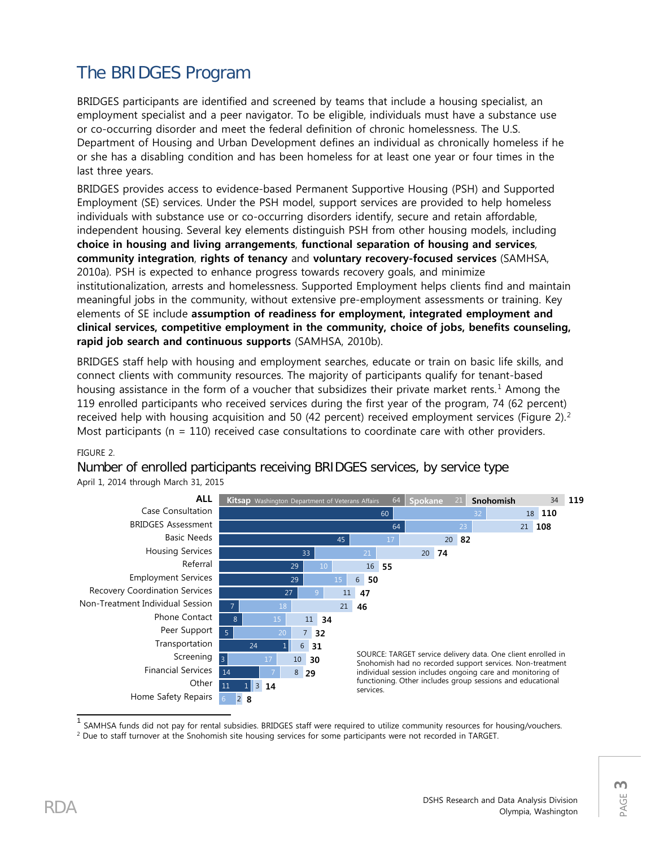## The BRIDGES Program

BRIDGES participants are identified and screened by teams that include a housing specialist, an employment specialist and a peer navigator. To be eligible, individuals must have a substance use or co-occurring disorder and meet the federal definition of chronic homelessness. The U.S. Department of Housing and Urban Development defines an individual as chronically homeless if he or she has a disabling condition and has been homeless for at least one year or four times in the last three years.

BRIDGES provides access to evidence-based Permanent Supportive Housing (PSH) and Supported Employment (SE) services. Under the PSH model, support services are provided to help homeless individuals with substance use or co-occurring disorders identify, secure and retain affordable, independent housing. Several key elements distinguish PSH from other housing models, including **choice in housing and living arrangements**, **functional separation of housing and services**, **community integration**, **rights of tenancy** and **voluntary recovery-focused services** (SAMHSA, 2010a). PSH is expected to enhance progress towards recovery goals, and minimize institutionalization, arrests and homelessness. Supported Employment helps clients find and maintain meaningful jobs in the community, without extensive pre-employment assessments or training. Key elements of SE include **assumption of readiness for employment, integrated employment and clinical services, competitive employment in the community, choice of jobs, benefits counseling, rapid job search and continuous supports** (SAMHSA, 2010b).

BRIDGES staff help with housing and employment searches, educate or train on basic life skills, and connect clients with community resources. The majority of participants qualify for tenant-based housing assistance in the form of a voucher that subsidizes their private market rents.<sup>[1](#page-2-0)</sup> Among the 119 enrolled participants who received services during the first year of the program, 74 (62 percent) received help with housing acquisition and 50 (4[2](#page-2-1) percent) received employment services (Figure 2).<sup>2</sup> Most participants ( $n = 110$ ) received case consultations to coordinate care with other providers.

### FIGURE 2.

64 Spokane 60 64 45 33 29 29 27 7 8 5 24 3 14 11 Home Safety Repairs 1 1 34 119 18 110 21 **108** 20 8 20 7 16 5 6 **40** 11 21 **46** 11 **23** 7 **21** 6 **20** 10 **20** 8 **18** 3 2 ALL Case Consultation BRIDGES Assessment Basic Needs Housing Services Referral Employment Services Recovery Coordination Services Non-Treatment Individual Session Phone Contact Peer Support Transportation Screening Financial Services **Other 36 03 7 Kitsap** Washington Department of Veterans Affairs **64 Spokane** 21 **Snohomish** SOURCE: TARGET service delivery data. One client enrolled in Snohomish had no recorded support services. Non-treatment individual session includes ongoing care and monitoring of functioning. Other includes group sessions and educational services.

Number of enrolled participants receiving BRIDGES services, by service type April 1, 2014 through March 31, 2015

SAMHSA funds did not pay for rental subsidies. BRIDGES staff were required to utilize community resources for housing/vouchers.

<span id="page-2-1"></span><span id="page-2-0"></span><sup>2</sup> Due to staff turnover at the Snohomish site housing services for some participants were not recorded in TARGET.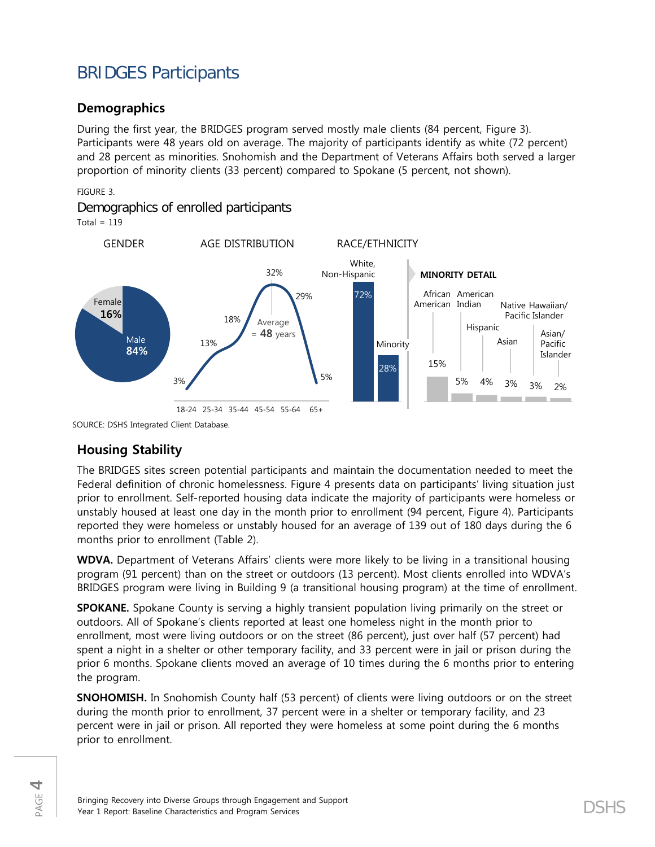## BRIDGES Participants

## **Demographics**

During the first year, the BRIDGES program served mostly male clients (84 percent, Figure 3). Participants were 48 years old on average. The majority of participants identify as white (72 percent) and 28 percent as minorities. Snohomish and the Department of Veterans Affairs both served a larger proportion of minority clients (33 percent) compared to Spokane (5 percent, not shown).

### FIGURE 3.

Demographics of enrolled participants

Total =  $119$ 



SOURCE: DSHS Integrated Client Database.

## **Housing Stability**

The BRIDGES sites screen potential participants and maintain the documentation needed to meet the Federal definition of chronic homelessness. Figure 4 presents data on participants' living situation just prior to enrollment. Self-reported housing data indicate the majority of participants were homeless or unstably housed at least one day in the month prior to enrollment (94 percent, Figure 4). Participants reported they were homeless or unstably housed for an average of 139 out of 180 days during the 6 months prior to enrollment (Table 2).

**WDVA.** Department of Veterans Affairs' clients were more likely to be living in a transitional housing program (91 percent) than on the street or outdoors (13 percent). Most clients enrolled into WDVA's BRIDGES program were living in Building 9 (a transitional housing program) at the time of enrollment.

**SPOKANE.** Spokane County is serving a highly transient population living primarily on the street or outdoors. All of Spokane's clients reported at least one homeless night in the month prior to enrollment, most were living outdoors or on the street (86 percent), just over half (57 percent) had spent a night in a shelter or other temporary facility, and 33 percent were in jail or prison during the prior 6 months. Spokane clients moved an average of 10 times during the 6 months prior to entering the program.

**SNOHOMISH.** In Snohomish County half (53 percent) of clients were living outdoors or on the street during the month prior to enrollment, 37 percent were in a shelter or temporary facility, and 23 percent were in jail or prison. All reported they were homeless at some point during the 6 months prior to enrollment.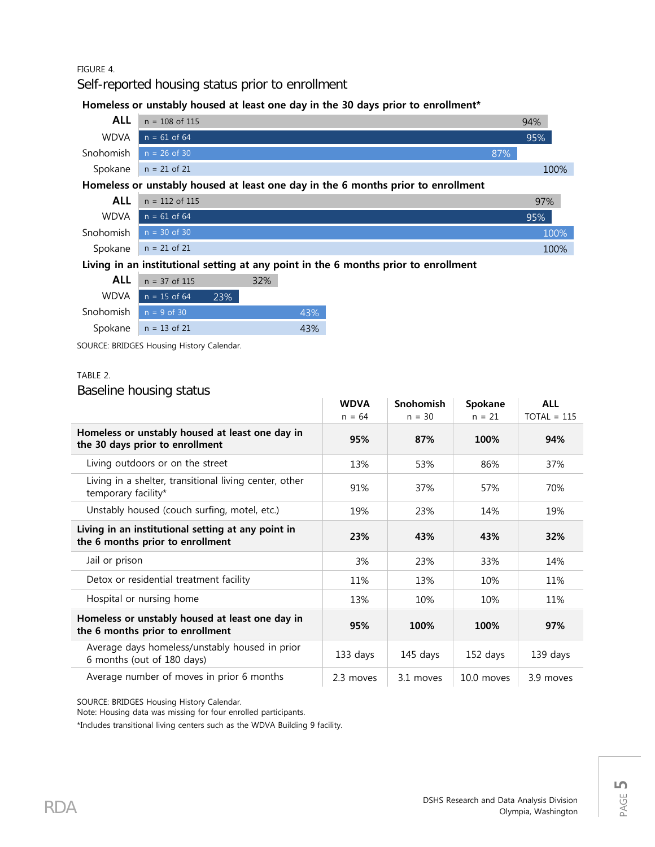#### FIGURE 4.

Self-reported housing status prior to enrollment

#### Homeless or unstably housed at least one day in the 30 days prior to enrollment<sup>\*</sup>



|                          | $n = 112$ of 115       | 97%     |
|--------------------------|------------------------|---------|
|                          | WDVA $n = 61$ of 64    | 95%     |
| Snohomish $n = 30$ of 30 |                        | $100\%$ |
|                          | Spokane $n = 21$ of 21 | 100%    |

### Living in an institutional setting at any point in the 6 months prior to enrollment

|                         | <b>ALL</b> $n = 37$ of 115 |     | 32% |     |
|-------------------------|----------------------------|-----|-----|-----|
|                         | $WDVA$ $n = 15$ of 64      | 23% |     |     |
| Snohomish $n = 9$ of 30 |                            |     |     | 43% |
|                         | Spokane $n = 13$ of 21     |     |     | 43% |

SOURCE: BRIDGES Housing History Calendar.

#### TABLE 2.

### Baseline housing status

|                                                                                        | <b>WDVA</b> | <b>Snohomish</b> | Spokane    | <b>ALL</b>    |
|----------------------------------------------------------------------------------------|-------------|------------------|------------|---------------|
|                                                                                        | $n = 64$    | $n = 30$         | $n = 21$   | $TOTAL = 115$ |
| Homeless or unstably housed at least one day in<br>the 30 days prior to enrollment     | 95%         | 87%              | 100%       | 94%           |
| Living outdoors or on the street                                                       | 13%         | 53%              | 86%        | 37%           |
| Living in a shelter, transitional living center, other<br>temporary facility*          | 91%         | 37%              | 57%        | 70%           |
| Unstably housed (couch surfing, motel, etc.)                                           | 19%         | 23%              | 14%        | 19%           |
| Living in an institutional setting at any point in<br>the 6 months prior to enrollment | 23%         | 43%              | 43%        | 32%           |
| Jail or prison                                                                         | 3%          | 23%              | 33%        | 14%           |
| Detox or residential treatment facility                                                | 11%         | 13%              | 10%        | 11%           |
| Hospital or nursing home                                                               | 13%         | 10%              | 10%        | 11%           |
| Homeless or unstably housed at least one day in<br>the 6 months prior to enrollment    | 95%         | 100%             | 100%       | 97%           |
| Average days homeless/unstably housed in prior<br>6 months (out of 180 days)           | 133 days    | 145 days         | 152 days   | 139 days      |
| Average number of moves in prior 6 months                                              | 2.3 moves   | 3.1 moves        | 10.0 moves | 3.9 moves     |

SOURCE: BRIDGES Housing History Calendar.

Note: Housing data was missing for four enrolled participants.

\*Includes transitional living centers such as the WDVA Building 9 facility.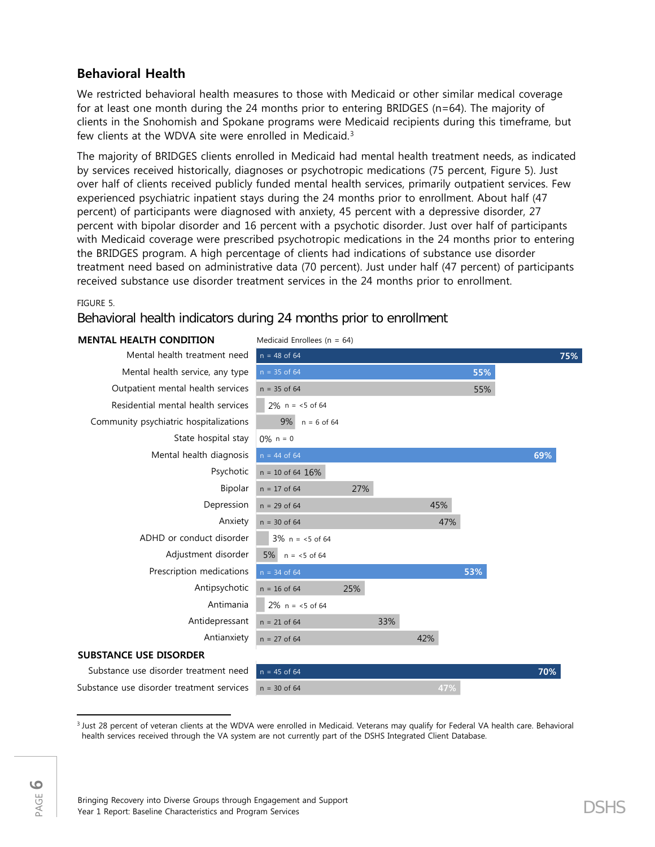## **Behavioral Health**

We restricted behavioral health measures to those with Medicaid or other similar medical coverage for at least one month during the 24 months prior to entering BRIDGES (n=64). The majority of clients in the Snohomish and Spokane programs were Medicaid recipients during this timeframe, but few clients at the WDVA site were enrolled in Medicaid.<sup>[3](#page-5-0)</sup>

The majority of BRIDGES clients enrolled in Medicaid had mental health treatment needs, as indicated by services received historically, diagnoses or psychotropic medications (75 percent, Figure 5). Just over half of clients received publicly funded mental health services, primarily outpatient services. Few experienced psychiatric inpatient stays during the 24 months prior to enrollment. About half (47 percent) of participants were diagnosed with anxiety, 45 percent with a depressive disorder, 27 percent with bipolar disorder and 16 percent with a psychotic disorder. Just over half of participants with Medicaid coverage were prescribed psychotropic medications in the 24 months prior to entering the BRIDGES program. A high percentage of clients had indications of substance use disorder treatment need based on administrative data (70 percent). Just under half (47 percent) of participants received substance use disorder treatment services in the 24 months prior to enrollment.

FIGURE 5.

Behavioral health indicators during 24 months prior to enrollment

## **MENTAL HEALTH CONDITION** Medicaid Enrollees (n = 64)

|                                           | $m$ candana Empireco (m. $-$ 0-17 |     |     |     |     |     |     |
|-------------------------------------------|-----------------------------------|-----|-----|-----|-----|-----|-----|
| Mental health treatment need              | $n = 48$ of 64                    |     |     |     |     |     | 75% |
| Mental health service, any type           | $n = 35$ of 64                    |     |     |     | 55% |     |     |
| Outpatient mental health services         | $n = 35$ of 64                    |     |     |     | 55% |     |     |
| Residential mental health services        | $2\%$ n = <5 of 64                |     |     |     |     |     |     |
| Community psychiatric hospitalizations    | 9%<br>$n = 6$ of 64               |     |     |     |     |     |     |
| State hospital stay                       | $0\%$ n = 0                       |     |     |     |     |     |     |
| Mental health diagnosis                   | $n = 44$ of 64                    |     |     |     |     | 69% |     |
| Psychotic                                 | $n = 10$ of 64 $16%$              |     |     |     |     |     |     |
| Bipolar                                   | $n = 17$ of 64                    | 27% |     |     |     |     |     |
| Depression                                | $n = 29$ of 64                    |     |     | 45% |     |     |     |
| Anxiety                                   | $n = 30$ of 64                    |     |     | 47% |     |     |     |
| ADHD or conduct disorder                  | $3\%$ n = <5 of 64                |     |     |     |     |     |     |
| Adjustment disorder                       | $5\%$ n = <5 of 64                |     |     |     |     |     |     |
| Prescription medications                  | $n = 34$ of 64                    |     |     |     | 53% |     |     |
| Antipsychotic                             | $n = 16$ of 64                    | 25% |     |     |     |     |     |
| Antimania                                 | $2\%$ n = <5 of 64                |     |     |     |     |     |     |
| Antidepressant                            | $n = 21$ of 64                    |     | 33% |     |     |     |     |
| Antianxiety                               | $n = 27$ of 64                    |     |     | 42% |     |     |     |
| <b>SUBSTANCE USE DISORDER</b>             |                                   |     |     |     |     |     |     |
| Substance use disorder treatment need     | $n = 45$ of 64                    |     |     |     |     | 70% |     |
| Substance use disorder treatment services | $n = 30$ of 64                    |     |     | 47% |     |     |     |

<span id="page-5-0"></span>l <sup>3</sup> Just 28 percent of veteran clients at the WDVA were enrolled in Medicaid. Veterans may qualify for Federal VA health care. Behavioral health services received through the VA system are not currently part of the DSHS Integrated Client Database.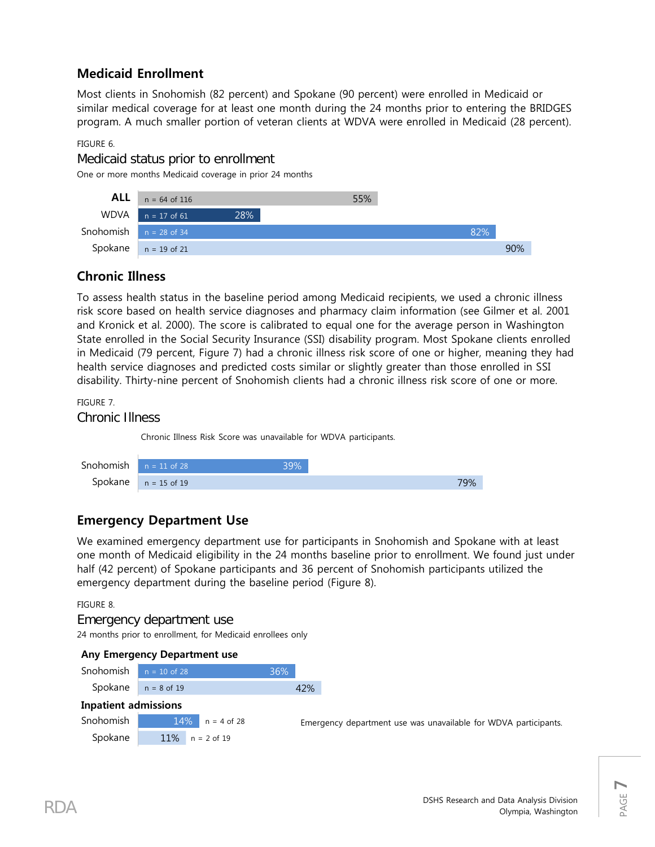## **Medicaid Enrollment**

Most clients in Snohomish (82 percent) and Spokane (90 percent) were enrolled in Medicaid or similar medical coverage for at least one month during the 24 months prior to entering the BRIDGES program. A much smaller portion of veteran clients at WDVA were enrolled in Medicaid (28 percent).

FIGURE 6.

Medicaid status prior to enrollment

One or more months Medicaid coverage in prior 24 months



## **Chronic Illness**

To assess health status in the baseline period among Medicaid recipients, we used a chronic illness risk score based on health service diagnoses and pharmacy claim information (see Gilmer et al. 2001 and Kronick et al. 2000). The score is calibrated to equal one for the average person in Washington State enrolled in the Social Security Insurance (SSI) disability program. Most Spokane clients enrolled in Medicaid (79 percent, Figure 7) had a chronic illness risk score of one or higher, meaning they had health service diagnoses and predicted costs similar or slightly greater than those enrolled in SSI disability. Thirty-nine percent of Snohomish clients had a chronic illness risk score of one or more.

FIGURE 7.

Chronic Illness

Chronic Illness Risk Score was unavailable for WDVA participants.

| <b>Snohomish</b> $n = 11$ of 28 |                        | 39% |     |
|---------------------------------|------------------------|-----|-----|
|                                 | Spokane $n = 15$ of 19 |     | 79% |

## **Emergency Department Use**

We examined emergency department use for participants in Snohomish and Spokane with at least one month of Medicaid eligibility in the 24 months baseline prior to enrollment. We found just under half (42 percent) of Spokane participants and 36 percent of Snohomish participants utilized the emergency department during the baseline period (Figure 8).

FIGURE 8.

## Emergency department use

24 months prior to enrollment, for Medicaid enrollees only

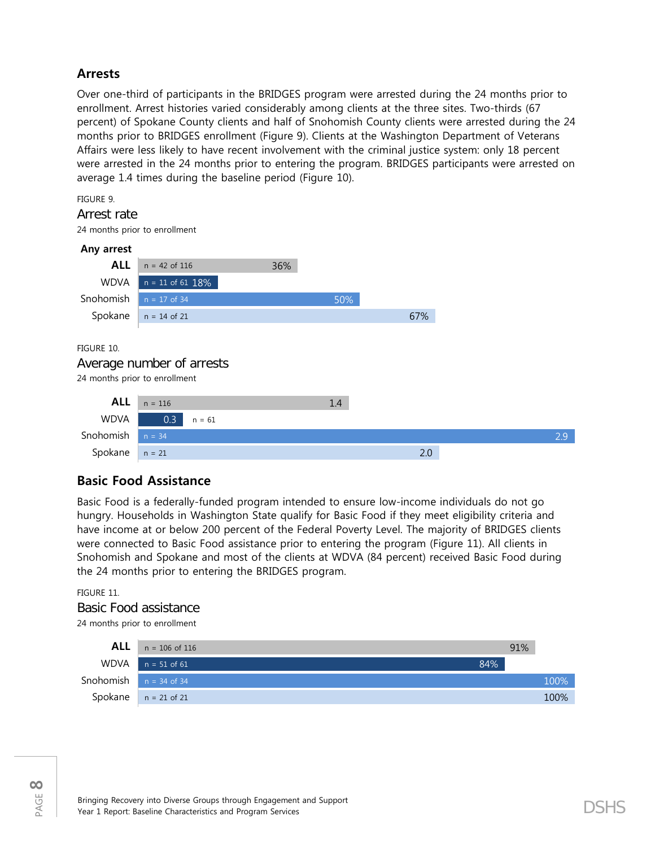## **Arrests**

Over one-third of participants in the BRIDGES program were arrested during the 24 months prior to enrollment. Arrest histories varied considerably among clients at the three sites. Two-thirds (67 percent) of Spokane County clients and half of Snohomish County clients were arrested during the 24 months prior to BRIDGES enrollment (Figure 9). Clients at the Washington Department of Veterans Affairs were less likely to have recent involvement with the criminal justice system: only 18 percent were arrested in the 24 months prior to entering the program. BRIDGES participants were arrested on average 1.4 times during the baseline period (Figure 10).

FIGURE 9.

#### Arrest rate

24 months prior to enrollment



## **Basic Food Assistance**

Basic Food is a federally-funded program intended to ensure low-income individuals do not go hungry. Households in Washington State qualify for Basic Food if they meet eligibility criteria and have income at or below 200 percent of the Federal Poverty Level. The majority of BRIDGES clients were connected to Basic Food assistance prior to entering the program (Figure 11). All clients in Snohomish and Spokane and most of the clients at WDVA (84 percent) received Basic Food during the 24 months prior to entering the BRIDGES program.

#### FIGURE 11.

## Basic Food assistance 24 months prior to enrollment

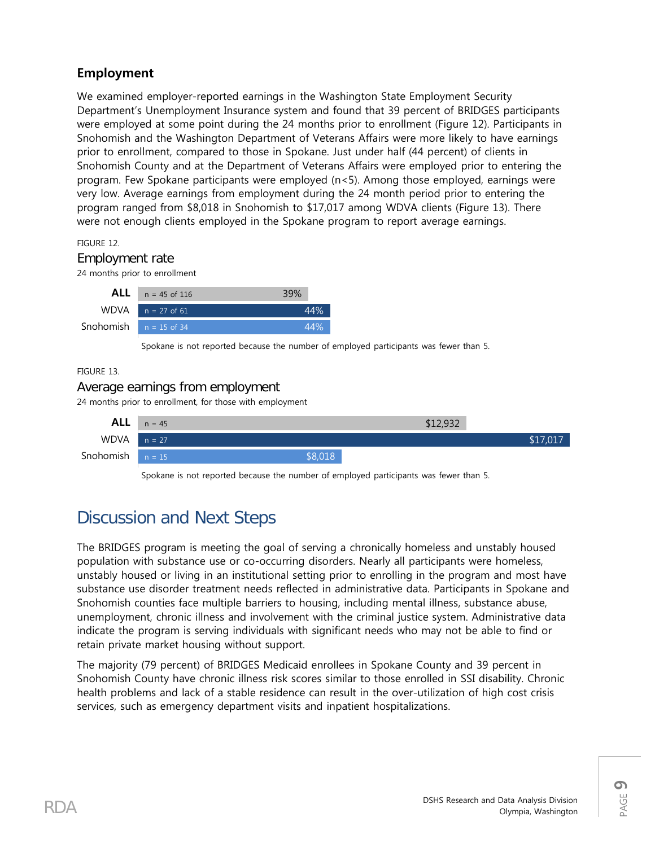## **Employment**

We examined employer-reported earnings in the Washington State Employment Security Department's Unemployment Insurance system and found that 39 percent of BRIDGES participants were employed at some point during the 24 months prior to enrollment (Figure 12). Participants in Snohomish and the Washington Department of Veterans Affairs were more likely to have earnings prior to enrollment, compared to those in Spokane. Just under half (44 percent) of clients in Snohomish County and at the Department of Veterans Affairs were employed prior to entering the program. Few Spokane participants were employed (n<5). Among those employed, earnings were very low. Average earnings from employment during the 24 month period prior to entering the program ranged from \$8,018 in Snohomish to \$17,017 among WDVA clients (Figure 13). There were not enough clients employed in the Spokane program to report average earnings.

FIGURE 12.

### Employment rate

24 months prior to enrollment

| $n = 45$ of 116                 |  |
|---------------------------------|--|
| $WDVA$ $n = 27$ of 61           |  |
| <b>Snohomish</b> $n = 15$ of 34 |  |
|                                 |  |

Spokane is not reported because the number of employed participants was fewer than 5.

#### FIGURE 13.

## Average earnings from employment

24 months prior to enrollment, for those with employment



Spokane is not reported because the number of employed participants was fewer than 5.

## Discussion and Next Steps

The BRIDGES program is meeting the goal of serving a chronically homeless and unstably housed population with substance use or co-occurring disorders. Nearly all participants were homeless, unstably housed or living in an institutional setting prior to enrolling in the program and most have substance use disorder treatment needs reflected in administrative data. Participants in Spokane and Snohomish counties face multiple barriers to housing, including mental illness, substance abuse, unemployment, chronic illness and involvement with the criminal justice system. Administrative data indicate the program is serving individuals with significant needs who may not be able to find or retain private market housing without support.

The majority (79 percent) of BRIDGES Medicaid enrollees in Spokane County and 39 percent in Snohomish County have chronic illness risk scores similar to those enrolled in SSI disability. Chronic health problems and lack of a stable residence can result in the over-utilization of high cost crisis services, such as emergency department visits and inpatient hospitalizations.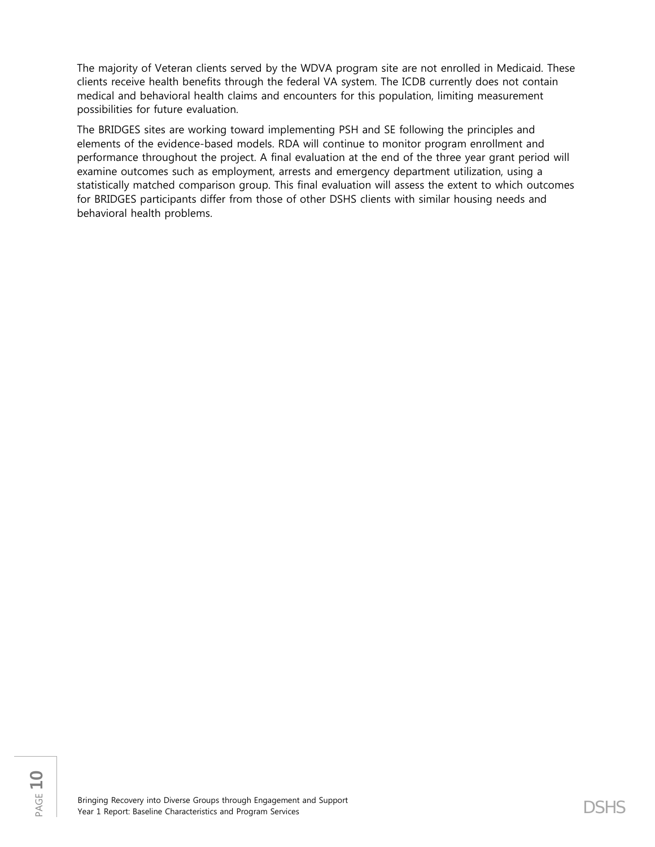The majority of Veteran clients served by the WDVA program site are not enrolled in Medicaid. These clients receive health benefits through the federal VA system. The ICDB currently does not contain medical and behavioral health claims and encounters for this population, limiting measurement possibilities for future evaluation.

The BRIDGES sites are working toward implementing PSH and SE following the principles and elements of the evidence-based models. RDA will continue to monitor program enrollment and performance throughout the project. A final evaluation at the end of the three year grant period will examine outcomes such as employment, arrests and emergency department utilization, using a statistically matched comparison group. This final evaluation will assess the extent to which outcomes for BRIDGES participants differ from those of other DSHS clients with similar housing needs and behavioral health problems.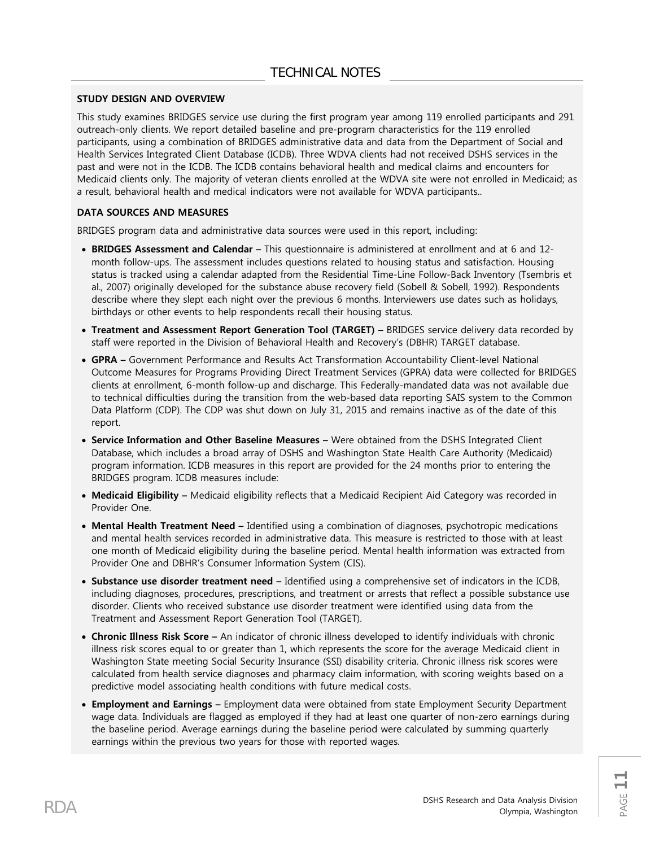#### **STUDY DESIGN AND OVERVIEW**

This study examines BRIDGES service use during the first program year among 119 enrolled participants and 291 outreach-only clients. We report detailed baseline and pre-program characteristics for the 119 enrolled participants, using a combination of BRIDGES administrative data and data from the Department of Social and Health Services Integrated Client Database (ICDB). Three WDVA clients had not received DSHS services in the past and were not in the ICDB. The ICDB contains behavioral health and medical claims and encounters for Medicaid clients only. The majority of veteran clients enrolled at the WDVA site were not enrolled in Medicaid; as a result, behavioral health and medical indicators were not available for WDVA participants..

#### **DATA SOURCES AND MEASURES**

BRIDGES program data and administrative data sources were used in this report, including:

- **BRIDGES Assessment and Calendar –** This questionnaire is administered at enrollment and at 6 and 12 month follow-ups. The assessment includes questions related to housing status and satisfaction. Housing status is tracked using a calendar adapted from the Residential Time-Line Follow-Back Inventory (Tsembris et al., 2007) originally developed for the substance abuse recovery field (Sobell & Sobell, 1992). Respondents describe where they slept each night over the previous 6 months. Interviewers use dates such as holidays, birthdays or other events to help respondents recall their housing status.
- **Treatment and Assessment Report Generation Tool (TARGET) –** BRIDGES service delivery data recorded by staff were reported in the Division of Behavioral Health and Recovery's (DBHR) TARGET database.
- **GPRA –** Government Performance and Results Act Transformation Accountability Client-level National Outcome Measures for Programs Providing Direct Treatment Services (GPRA) data were collected for BRIDGES clients at enrollment, 6-month follow-up and discharge. This Federally-mandated data was not available due to technical difficulties during the transition from the web-based data reporting SAIS system to the Common Data Platform (CDP). The CDP was shut down on July 31, 2015 and remains inactive as of the date of this report.
- **Service Information and Other Baseline Measures –** Were obtained from the DSHS Integrated Client Database, which includes a broad array of DSHS and Washington State Health Care Authority (Medicaid) program information. ICDB measures in this report are provided for the 24 months prior to entering the BRIDGES program. ICDB measures include:
- **Medicaid Eligibility –** Medicaid eligibility reflects that a Medicaid Recipient Aid Category was recorded in Provider One.
- **Mental Health Treatment Need –** Identified using a combination of diagnoses, psychotropic medications and mental health services recorded in administrative data. This measure is restricted to those with at least one month of Medicaid eligibility during the baseline period. Mental health information was extracted from Provider One and DBHR's Consumer Information System (CIS).
- **Substance use disorder treatment need –** Identified using a comprehensive set of indicators in the ICDB, including diagnoses, procedures, prescriptions, and treatment or arrests that reflect a possible substance use disorder. Clients who received substance use disorder treatment were identified using data from the Treatment and Assessment Report Generation Tool (TARGET).
- **Chronic Illness Risk Score –** An indicator of chronic illness developed to identify individuals with chronic illness risk scores equal to or greater than 1, which represents the score for the average Medicaid client in Washington State meeting Social Security Insurance (SSI) disability criteria. Chronic illness risk scores were calculated from health service diagnoses and pharmacy claim information, with scoring weights based on a predictive model associating health conditions with future medical costs.
- **Employment and Earnings –** Employment data were obtained from state Employment Security Department wage data. Individuals are flagged as employed if they had at least one quarter of non-zero earnings during the baseline period. Average earnings during the baseline period were calculated by summing quarterly earnings within the previous two years for those with reported wages.